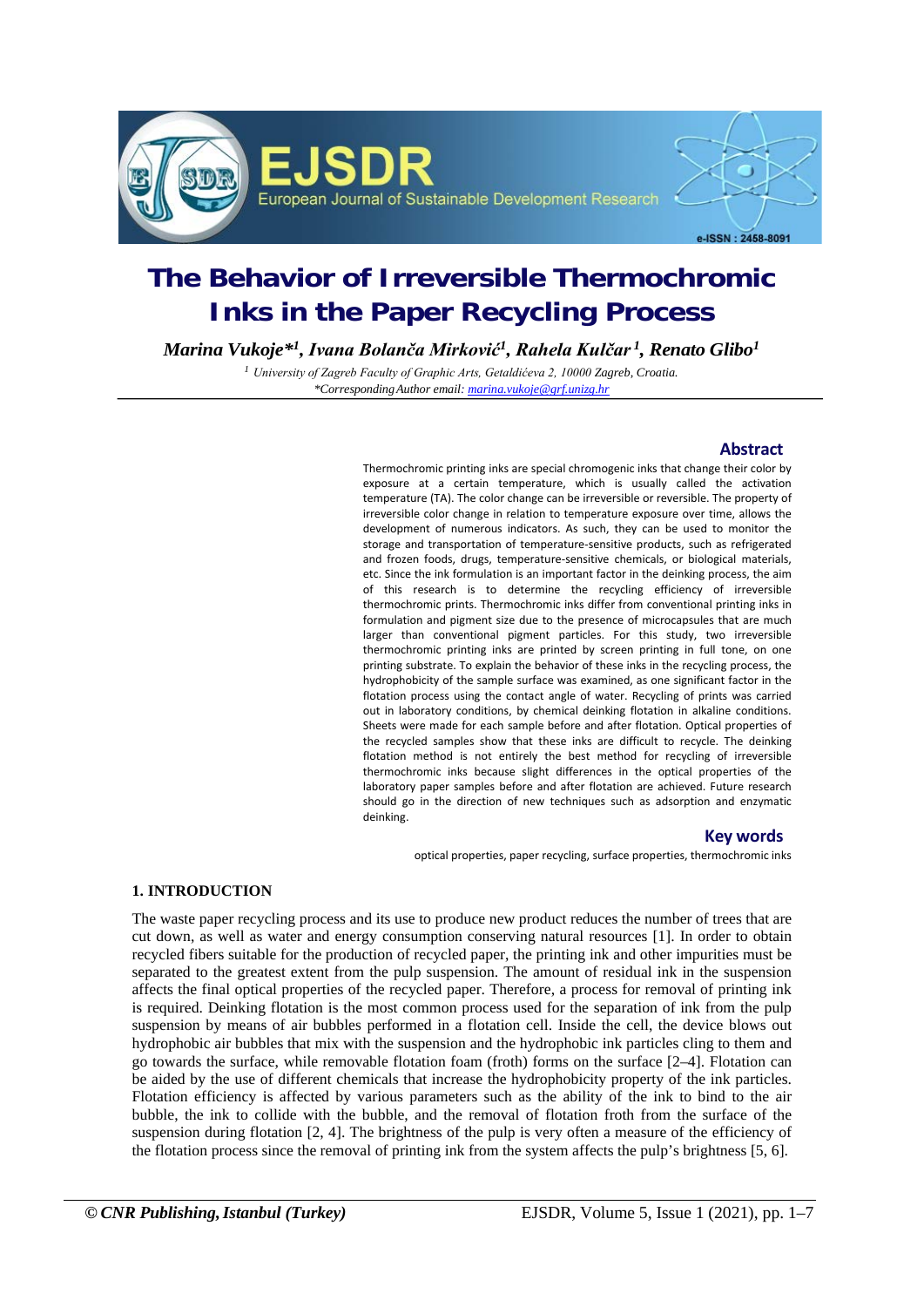

# **The Behavior of Irreversible Thermochromic Inks in the Paper Recycling Process**

*Marina Vukoje\*1 , Ivana Bolanča Mirković<sup>1</sup> , Rahela Kulčar <sup>1</sup> , Renato Glibo1*

<sup>1</sup> *University of Zagreb Faculty of Graphic Arts, Getaldićeva 2, 10000 Zagreb, Croatia. \*CorrespondingAuthor email[: marina.vukoje@grf.unizg.hr](mailto:marina.vukoje@grf.unizg.hr)*

# **Abstract**

Thermochromic printing inks are special chromogenic inks that change their color by exposure at a certain temperature, which is usually called the activation temperature (TA). The color change can be irreversible or reversible. The property of irreversible color change in relation to temperature exposure over time, allows the development of numerous indicators. As such, they can be used to monitor the storage and transportation of temperature-sensitive products, such as refrigerated and frozen foods, drugs, temperature-sensitive chemicals, or biological materials, etc. Since the ink formulation is an important factor in the deinking process, the aim of this research is to determine the recycling efficiency of irreversible thermochromic prints. Thermochromic inks differ from conventional printing inks in formulation and pigment size due to the presence of microcapsules that are much larger than conventional pigment particles. For this study, two irreversible thermochromic printing inks are printed by screen printing in full tone, on one printing substrate. To explain the behavior of these inks in the recycling process, the hydrophobicity of the sample surface was examined, as one significant factor in the flotation process using the contact angle of water. Recycling of prints was carried out in laboratory conditions, by chemical deinking flotation in alkaline conditions. Sheets were made for each sample before and after flotation. Optical properties of the recycled samples show that these inks are difficult to recycle. The deinking flotation method is not entirely the best method for recycling of irreversible thermochromic inks because slight differences in the optical properties of the laboratory paper samples before and after flotation are achieved. Future research should go in the direction of new techniques such as adsorption and enzymatic deinking.

## **Key words**

optical properties, paper recycling, surface properties, thermochromic inks

# **1. INTRODUCTION**

The waste paper recycling process and its use to produce new product reduces the number of trees that are cut down, as well as water and energy consumption conserving natural resources [1]. In order to obtain recycled fibers suitable for the production of recycled paper, the printing ink and other impurities must be separated to the greatest extent from the pulp suspension. The amount of residual ink in the suspension affects the final optical properties of the recycled paper. Therefore, a process for removal of printing ink is required. Deinking flotation is the most common process used for the separation of ink from the pulp suspension by means of air bubbles performed in a flotation cell. Inside the cell, the device blows out hydrophobic air bubbles that mix with the suspension and the hydrophobic ink particles cling to them and go towards the surface, while removable flotation foam (froth) forms on the surface [2–4]. Flotation can be aided by the use of different chemicals that increase the hydrophobicity property of the ink particles. Flotation efficiency is affected by various parameters such as the ability of the ink to bind to the air bubble, the ink to collide with the bubble, and the removal of flotation froth from the surface of the suspension during flotation [2, 4]. The brightness of the pulp is very often a measure of the efficiency of the flotation process since the removal of printing ink from the system affects the pulp's brightness [5, 6].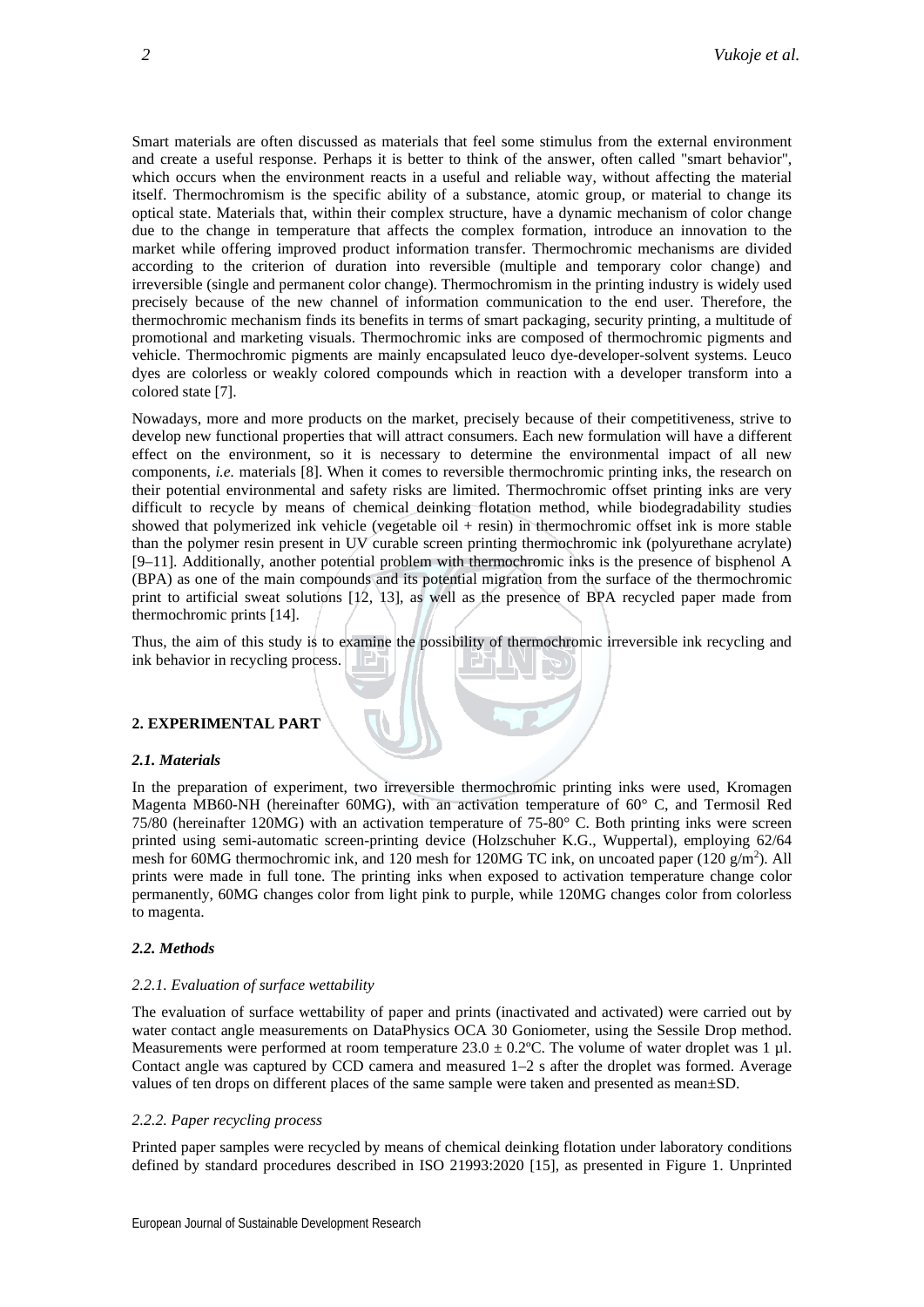Smart materials are often discussed as materials that feel some stimulus from the external environment and create a useful response. Perhaps it is better to think of the answer, often called "smart behavior", which occurs when the environment reacts in a useful and reliable way, without affecting the material itself. Thermochromism is the specific ability of a substance, atomic group, or material to change its optical state. Materials that, within their complex structure, have a dynamic mechanism of color change due to the change in temperature that affects the complex formation, introduce an innovation to the market while offering improved product information transfer. Thermochromic mechanisms are divided according to the criterion of duration into reversible (multiple and temporary color change) and irreversible (single and permanent color change). Thermochromism in the printing industry is widely used precisely because of the new channel of information communication to the end user. Therefore, the thermochromic mechanism finds its benefits in terms of smart packaging, security printing, a multitude of promotional and marketing visuals. Thermochromic inks are composed of thermochromic pigments and vehicle. Thermochromic pigments are mainly encapsulated leuco dye-developer-solvent systems. Leuco dyes are colorless or weakly colored compounds which in reaction with a developer transform into a colored state [7].

Nowadays, more and more products on the market, precisely because of their competitiveness, strive to develop new functional properties that will attract consumers. Each new formulation will have a different effect on the environment, so it is necessary to determine the environmental impact of all new components, *i.e.* materials [8]. When it comes to reversible thermochromic printing inks, the research on their potential environmental and safety risks are limited. Thermochromic offset printing inks are very difficult to recycle by means of chemical deinking flotation method, while biodegradability studies showed that polymerized ink vehicle (vegetable oil + resin) in thermochromic offset ink is more stable than the polymer resin present in UV curable screen printing thermochromic ink (polyurethane acrylate) [9–11]. Additionally, another potential problem with thermochromic inks is the presence of bisphenol A (BPA) as one of the main compounds and its potential migration from the surface of the thermochromic print to artificial sweat solutions [12, 13], as well as the presence of BPA recycled paper made from thermochromic prints [14].

Thus, the aim of this study is to examine the possibility of thermochromic irreversible ink recycling and ink behavior in recycling process.

## **2. EXPERIMENTAL PART**

## *2.1. Materials*

In the preparation of experiment, two irreversible thermochromic printing inks were used, Kromagen Magenta MB60-NH (hereinafter 60MG), with an activation temperature of 60° C, and Termosil Red 75/80 (hereinafter 120MG) with an activation temperature of 75-80° C. Both printing inks were screen printed using semi-automatic screen-printing device (Holzschuher K.G., Wuppertal), employing 62/64 mesh for 60MG thermochromic ink, and 120 mesh for 120MG TC ink, on uncoated paper (120 g/m<sup>2</sup>). All prints were made in full tone. The printing inks when exposed to activation temperature change color permanently, 60MG changes color from light pink to purple, while 120MG changes color from colorless to magenta.

#### *2.2. Methods*

#### *2.2.1. Evaluation of surface wettability*

The evaluation of surface wettability of paper and prints (inactivated and activated) were carried out by water contact angle measurements on DataPhysics OCA 30 Goniometer, using the Sessile Drop method. Measurements were performed at room temperature  $23.0 \pm 0.2$ °C. The volume of water droplet was 1 µl. Contact angle was captured by CCD camera and measured 1–2 s after the droplet was formed. Average values of ten drops on different places of the same sample were taken and presented as mean±SD.

#### *2.2.2. Paper recycling process*

Printed paper samples were recycled by means of chemical deinking flotation under laboratory conditions defined by standard procedures described in ISO 21993:2020 [15], as presented in [Figure 1.](#page-2-0) Unprinted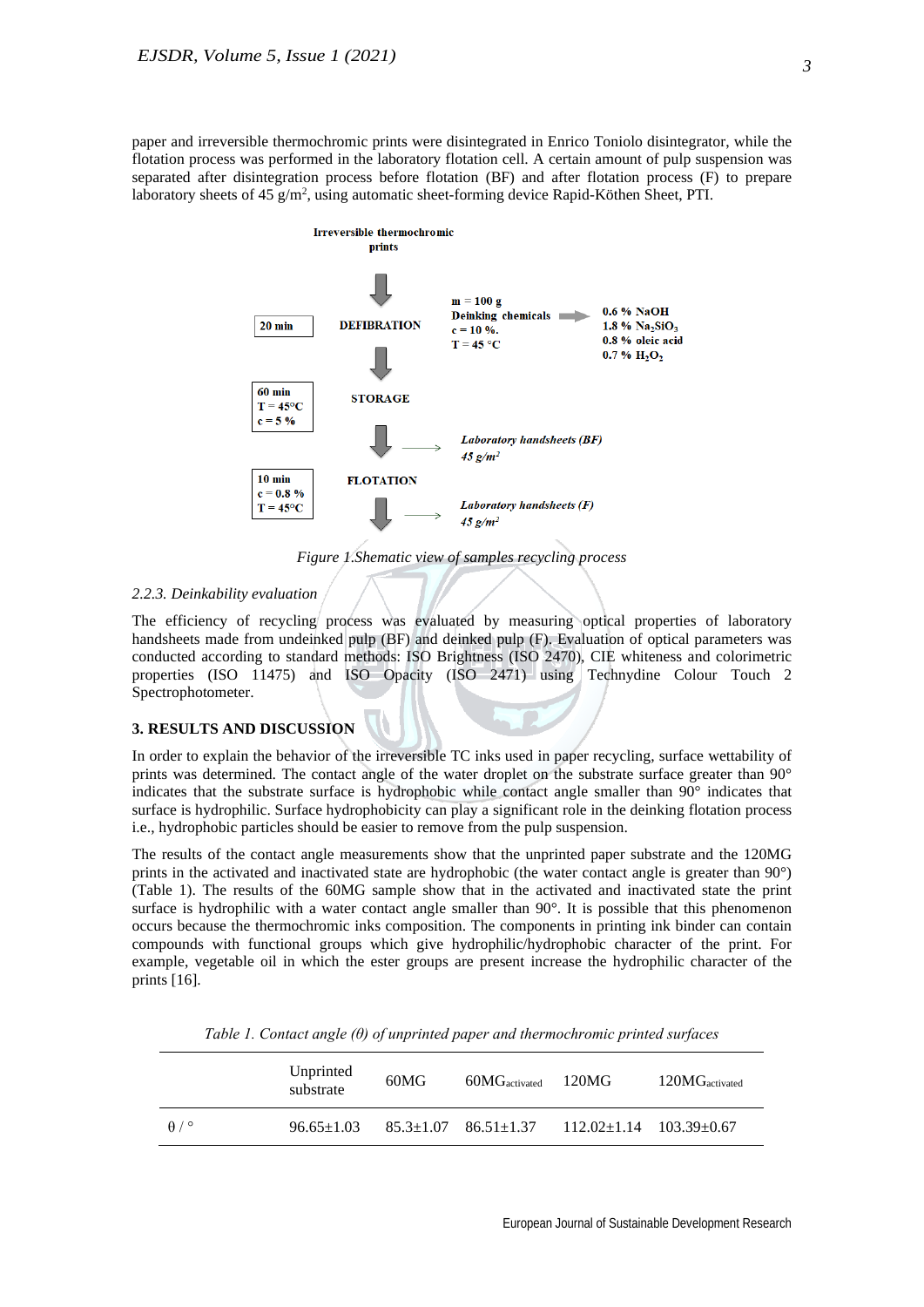paper and irreversible thermochromic prints were disintegrated in Enrico Toniolo disintegrator, while the flotation process was performed in the laboratory flotation cell. A certain amount of pulp suspension was separated after disintegration process before flotation (BF) and after flotation process (F) to prepare laboratory sheets of  $45 \text{ g/m}^2$ , using automatic sheet-forming device Rapid-Köthen Sheet, PTI.



*Figure 1.Shematic view of samples recycling process*

## <span id="page-2-0"></span>*2.2.3. Deinkability evaluation*

The efficiency of recycling process was evaluated by measuring optical properties of laboratory handsheets made from undeinked pulp (BF) and deinked pulp (F). Evaluation of optical parameters was conducted according to standard methods: ISO Brightness (ISO 2470), CIE whiteness and colorimetric properties (ISO 11475) and ISO Opacity (ISO 2471) using Technydine Colour Touch 2 Spectrophotometer.

## **3. RESULTS AND DISCUSSION**

In order to explain the behavior of the irreversible TC inks used in paper recycling, surface wettability of prints was determined. The contact angle of the water droplet on the substrate surface greater than 90° indicates that the substrate surface is hydrophobic while contact angle smaller than 90° indicates that surface is hydrophilic. Surface hydrophobicity can play a significant role in the deinking flotation process i.e., hydrophobic particles should be easier to remove from the pulp suspension.

The results of the contact angle measurements show that the unprinted paper substrate and the 120MG prints in the activated and inactivated state are hydrophobic (the water contact angle is greater than 90°) (Table 1). The results of the 60MG sample show that in the activated and inactivated state the print surface is hydrophilic with a water contact angle smaller than 90°. It is possible that this phenomenon occurs because the thermochromic inks composition. The components in printing ink binder can contain compounds with functional groups which give hydrophilic/hydrophobic character of the print. For example, vegetable oil in which the ester groups are present increase the hydrophilic character of the prints [16].

|                    | Unprinted<br>substrate | 60MG | 60MG <sub>activated</sub>                                            | 120MG | 120MG <sub>activated</sub> |
|--------------------|------------------------|------|----------------------------------------------------------------------|-------|----------------------------|
| $\theta$ / $\circ$ | $96.65 + 1.03$         |      | $85.3 \pm 1.07$ $86.51 \pm 1.37$ $112.02 \pm 1.14$ $103.39 \pm 0.67$ |       |                            |

*Table 1. Contact angle (θ) of unprinted paper and thermochromic printed surfaces*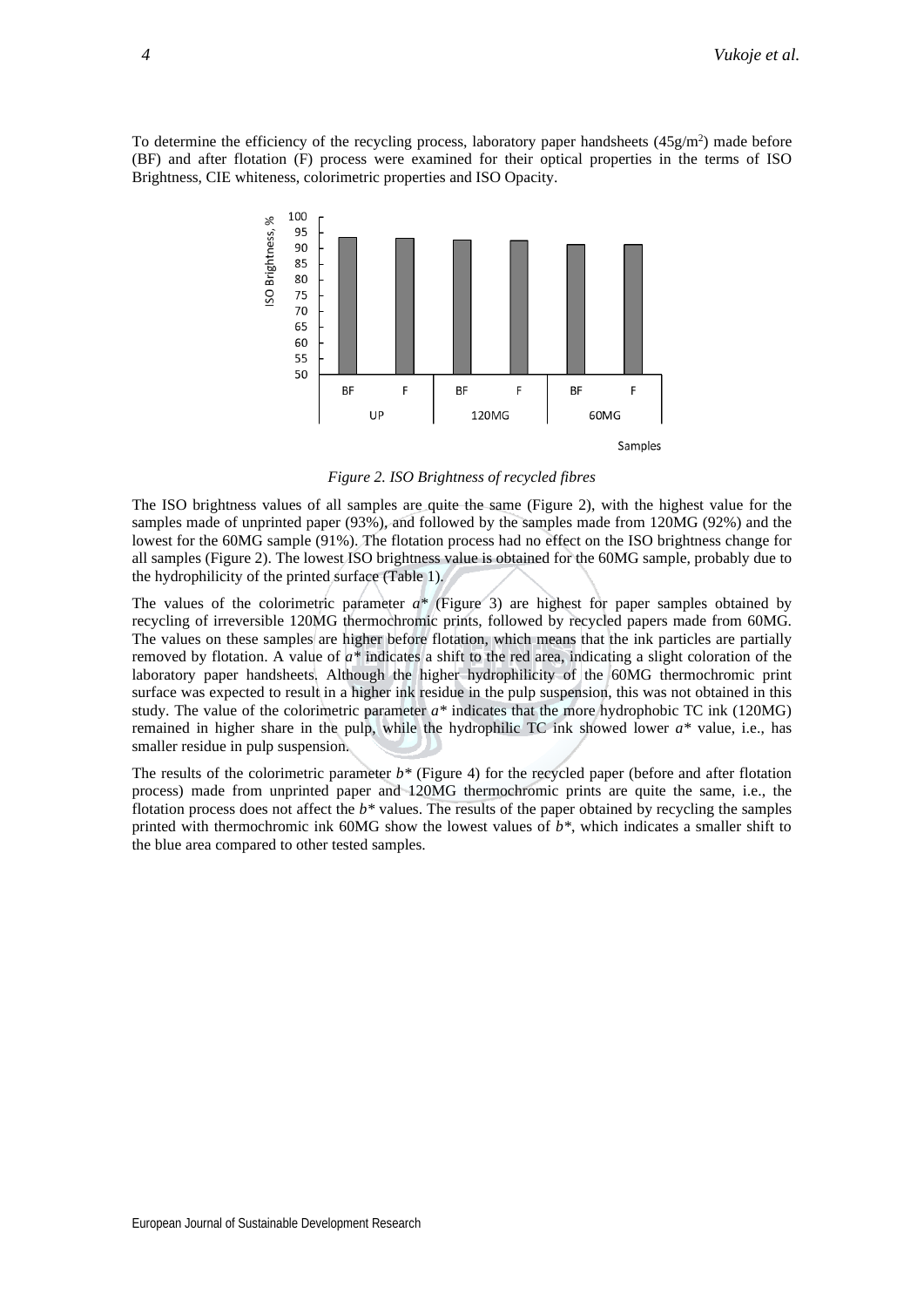To determine the efficiency of the recycling process, laboratory paper handsheets  $(45g/m<sup>2</sup>)$  made before (BF) and after flotation (F) process were examined for their optical properties in the terms of ISO Brightness, CIE whiteness, colorimetric properties and ISO Opacity.



*Figure 2. ISO Brightness of recycled fibres*

The ISO brightness values of all samples are quite the same (Figure 2), with the highest value for the samples made of unprinted paper (93%), and followed by the samples made from 120MG (92%) and the lowest for the 60MG sample (91%). The flotation process had no effect on the ISO brightness change for all samples (Figure 2). The lowest ISO brightness value is obtained for the 60MG sample, probably due to the hydrophilicity of the printed surface (Table 1).

The values of the colorimetric parameter  $a^*$  (Figure 3) are highest for paper samples obtained by recycling of irreversible 120MG thermochromic prints, followed by recycled papers made from 60MG. The values on these samples are higher before flotation, which means that the ink particles are partially removed by flotation. A value of  $a^*$  indicates a shift to the red area, indicating a slight coloration of the laboratory paper handsheets. Although the higher hydrophilicity of the 60MG thermochromic print surface was expected to result in a higher ink residue in the pulp suspension, this was not obtained in this study. The value of the colorimetric parameter *a\** indicates that the more hydrophobic TC ink (120MG) remained in higher share in the pulp, while the hydrophilic TC ink showed lower *a\** value, i.e., has smaller residue in pulp suspension.

The results of the colorimetric parameter *b\** (Figure 4) for the recycled paper (before and after flotation process) made from unprinted paper and 120MG thermochromic prints are quite the same, i.e., the flotation process does not affect the *b\** values. The results of the paper obtained by recycling the samples printed with thermochromic ink 60MG show the lowest values of *b\**, which indicates a smaller shift to the blue area compared to other tested samples.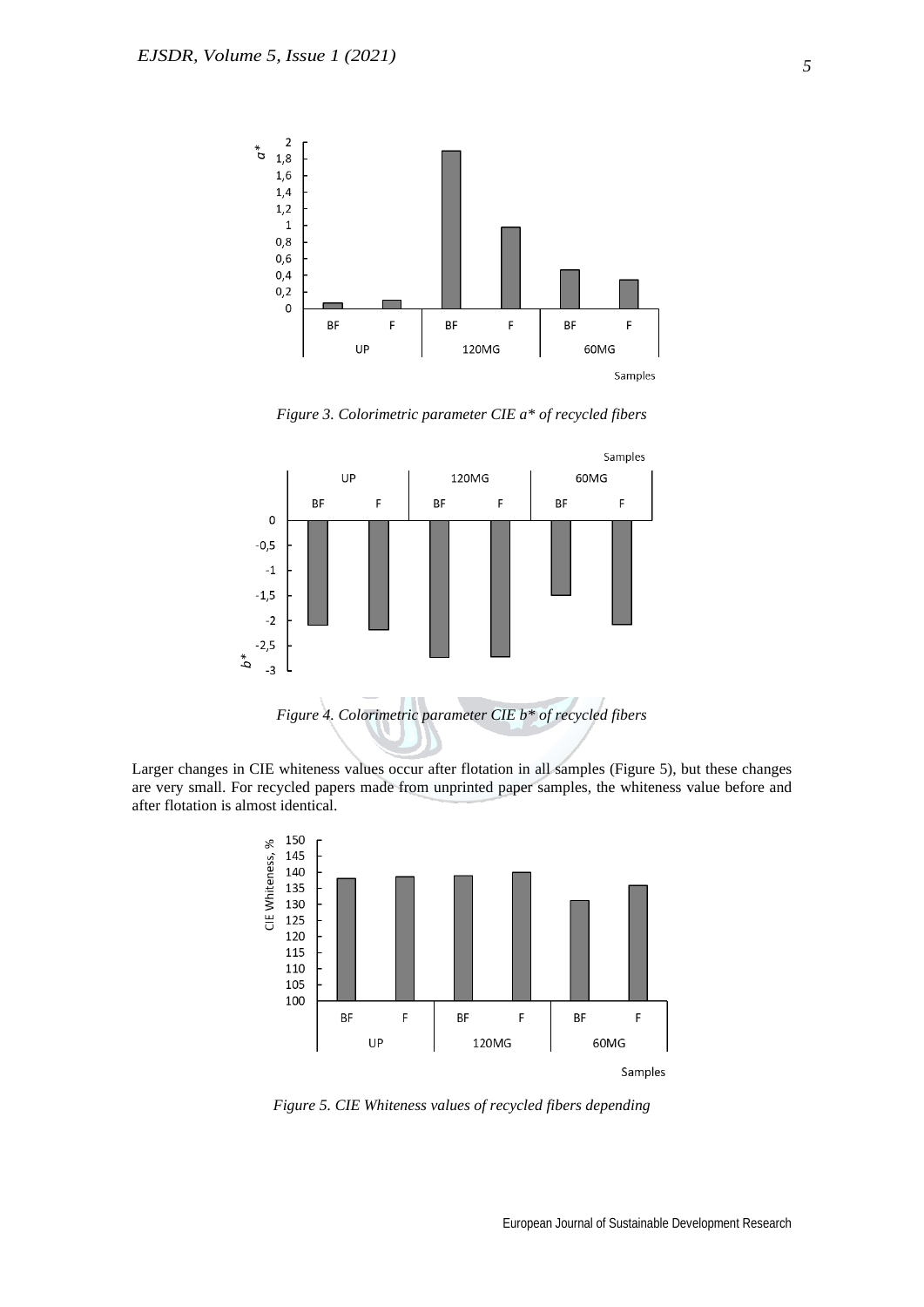

*Figure 3. Colorimetric parameter CIE a\* of recycled fibers*



Larger changes in CIE whiteness values occur after flotation in all samples (Figure 5), but these changes are very small. For recycled papers made from unprinted paper samples, the whiteness value before and after flotation is almost identical.



*Figure 5. CIE Whiteness values of recycled fibers depending*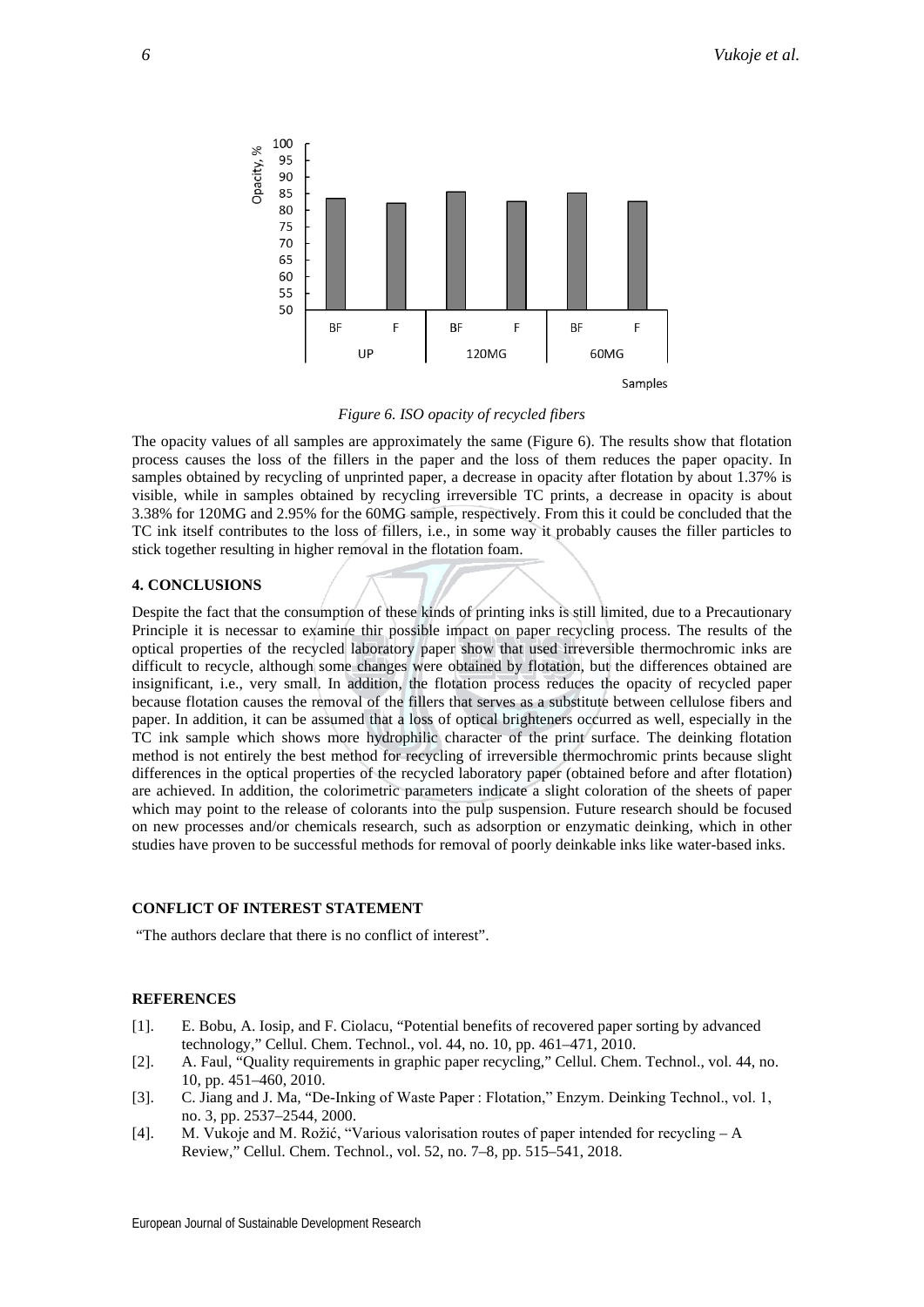

*Figure 6. ISO opacity of recycled fibers*

The opacity values of all samples are approximately the same (Figure 6). The results show that flotation process causes the loss of the fillers in the paper and the loss of them reduces the paper opacity. In samples obtained by recycling of unprinted paper, a decrease in opacity after flotation by about 1.37% is visible, while in samples obtained by recycling irreversible TC prints, a decrease in opacity is about 3.38% for 120MG and 2.95% for the 60MG sample, respectively. From this it could be concluded that the TC ink itself contributes to the loss of fillers, i.e., in some way it probably causes the filler particles to stick together resulting in higher removal in the flotation foam.

## **4. CONCLUSIONS**

Despite the fact that the consumption of these kinds of printing inks is still limited, due to a Precautionary Principle it is necessar to examine thir possible impact on paper recycling process. The results of the optical properties of the recycled laboratory paper show that used irreversible thermochromic inks are difficult to recycle, although some changes were obtained by flotation, but the differences obtained are insignificant, i.e., very small. In addition, the flotation process reduces the opacity of recycled paper because flotation causes the removal of the fillers that serves as a substitute between cellulose fibers and paper. In addition, it can be assumed that a loss of optical brighteners occurred as well, especially in the TC ink sample which shows more hydrophilic character of the print surface. The deinking flotation method is not entirely the best method for recycling of irreversible thermochromic prints because slight differences in the optical properties of the recycled laboratory paper (obtained before and after flotation) are achieved. In addition, the colorimetric parameters indicate a slight coloration of the sheets of paper which may point to the release of colorants into the pulp suspension. Future research should be focused on new processes and/or chemicals research, such as adsorption or enzymatic deinking, which in other studies have proven to be successful methods for removal of poorly deinkable inks like water-based inks.

## **CONFLICT OF INTEREST STATEMENT**

"The authors declare that there is no conflict of interest".

## **REFERENCES**

- [1]. E. Bobu, A. Iosip, and F. Ciolacu, "Potential benefits of recovered paper sorting by advanced technology," Cellul. Chem. Technol., vol. 44, no. 10, pp. 461–471, 2010.
- [2]. A. Faul, "Quality requirements in graphic paper recycling," Cellul. Chem. Technol., vol. 44, no. 10, pp. 451–460, 2010.
- [3]. C. Jiang and J. Ma, "De-Inking of Waste Paper : Flotation," Enzym. Deinking Technol., vol. 1, no. 3, pp. 2537–2544, 2000.
- [4]. M. Vukoje and M. Rožić, "Various valorisation routes of paper intended for recycling A Review," Cellul. Chem. Technol., vol. 52, no. 7–8, pp. 515–541, 2018.